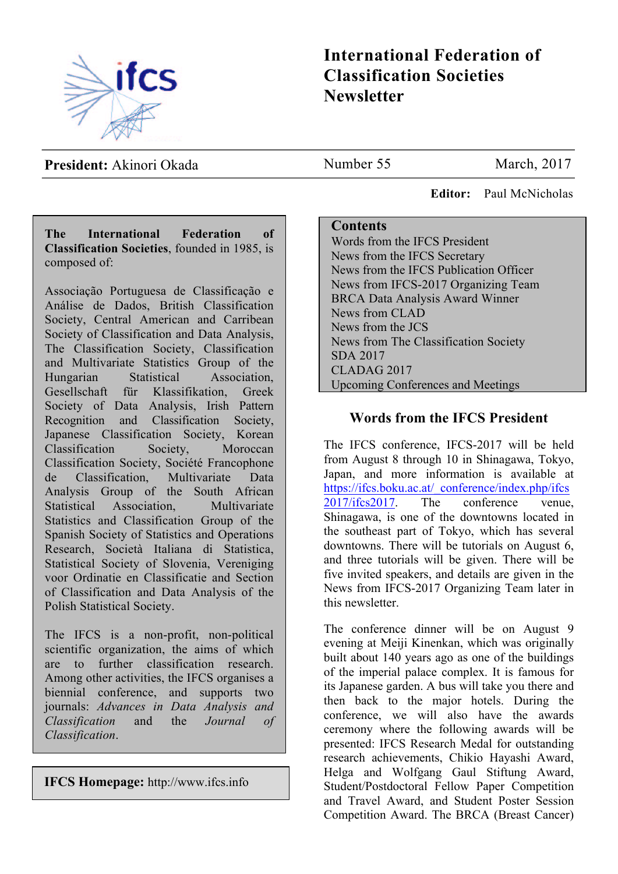

# **International Federation of Classification Societies Newsletter**

**President:** Akinori Okada

**The International Federation of Classification Societies**, founded in 1985, is composed of:

Associação Portuguesa de Classificação e Análise de Dados, British Classification Society, Central American and Carribean Society of Classification and Data Analysis, The Classification Society, Classification and Multivariate Statistics Group of the Hungarian Statistical Association, Gesellschaft für Klassifikation, Greek Society of Data Analysis, Irish Pattern Recognition and Classification Society, Japanese Classification Society, Korean Classification Society, Moroccan Classification Society, Société Francophone de Classification, Multivariate Data Analysis Group of the South African Statistical Association, Multivariate Statistics and Classification Group of the Spanish Society of Statistics and Operations Research, Società Italiana di Statistica, Statistical Society of Slovenia, Vereniging voor Ordinatie en Classificatie and Section of Classification and Data Analysis of the Polish Statistical Society.

The IFCS is a non-profit, non-political scientific organization, the aims of which are to further classification research. Among other activities, the IFCS organises a biennial conference, and supports two journals: *Advances in Data Analysis and Classification* and the *Journal of Classification*.

**IFCS Homepage:** http://www.ifcs.info

Number 55 March, 2017

 **Editor:** Paul McNicholas

### **Contents**

Words from the IFCS President News from the IFCS Secretary News from the IFCS Publication Officer News from IFCS-2017 Organizing Team BRCA Data Analysis Award Winner News from CLAD News from the JCS News from The Classification Society SDA 2017 CLADAG 2017 Upcoming Conferences and Meetings

# **Words from the IFCS President**

The IFCS conference, IFCS-2017 will be held from August 8 through 10 in Shinagawa, Tokyo, Japan, and more information is available at https://ifcs.boku.ac.at/\_conference/index.php/ifcs 2017/ifcs2017. The conference venue, Shinagawa, is one of the downtowns located in the southeast part of Tokyo, which has several downtowns. There will be tutorials on August 6, and three tutorials will be given. There will be five invited speakers, and details are given in the News from IFCS-2017 Organizing Team later in this newsletter.

The conference dinner will be on August 9 evening at Meiji Kinenkan, which was originally built about 140 years ago as one of the buildings of the imperial palace complex. It is famous for its Japanese garden. A bus will take you there and then back to the major hotels. During the conference, we will also have the awards ceremony where the following awards will be presented: IFCS Research Medal for outstanding research achievements, Chikio Hayashi Award, Helga and Wolfgang Gaul Stiftung Award, Student/Postdoctoral Fellow Paper Competition and Travel Award, and Student Poster Session Competition Award. The BRCA (Breast Cancer)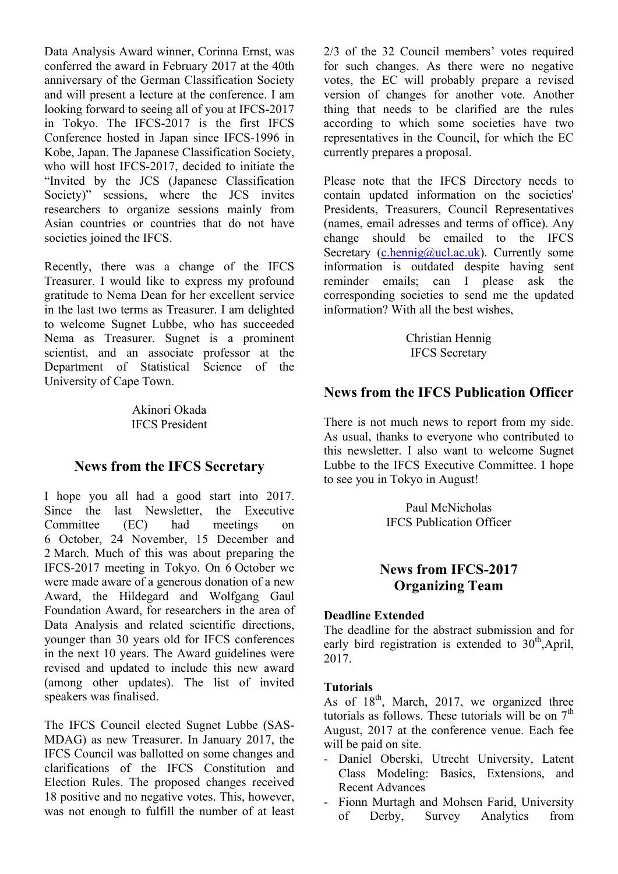Data Analysis Award winner, Corinna Ernst, was conferred the award in February 2017 at the 40th anniversary of the German Classification Society and will present a lecture at the conference. I am looking forward to seeing all of you at IFCS-2017 in Tokyo. The IFCS-2017 is the first IFCS Conference hosted in Japan since IFCS-1996 in Kobe, Japan. The Japanese Classification Society, who will host IFCS-2017, decided to initiate the "Invited by the JCS (Japanese Classification Society)" sessions, where the JCS invites researchers to organize sessions mainly from Asian countries or countries that do not have societies joined the IFCS.

Recently, there was a change of the IFCS Treasurer. I would like to express my profound gratitude to Nema Dean for her excellent service in the last two terms as Treasurer. I am delighted to welcome Sugnet Lubbe, who has succeeded Nema as Treasurer. Sugnet is a prominent scientist, and an associate professor at the Department of Statistical Science of the University of Cape Town.

> Akinori Okada IFCS President

### **News from the IFCS Secretary**

I hope you all had a good start into 2017. Since the last Newsletter, the Executive Committee (EC) had meetings on 6 October, 24 November, 15 December and 2 March. Much of this was about preparing the IFCS-2017 meeting in Tokyo. On 6 October we were made aware of a generous donation of a new Award, the Hildegard and Wolfgang Gaul Foundation Award, for researchers in the area of Data Analysis and related scientific directions, younger than 30 years old for IFCS conferences in the next 10 years. The Award guidelines were revised and updated to include this new award (among other updates). The list of invited speakers was finalised.

The IFCS Council elected Sugnet Lubbe (SAS-MDAG) as new Treasurer. In January 2017, the IFCS Council was ballotted on some changes and clarifications of the IFCS Constitution and Election Rules. The proposed changes received 18 positive and no negative votes. This, however, was not enough to fulfill the number of at least 2/3 of the 32 Council members' votes required for such changes. As there were no negative votes, the EC will probably prepare a revised version of changes for another vote. Another thing that needs to be clarified are the rules according to which some societies have two representatives in the Council, for which the EC currently prepares a proposal.

Please note that the IFCS Directory needs to contain updated information on the societies' Presidents, Treasurers, Council Representatives (names, email adresses and terms of office). Any change should be emailed to the IFCS Secretary  $(c, \text{hennig@ucl.ac.uk})$ . Currently some information is outdated despite having sent reminder emails; can I please ask the corresponding societies to send me the updated information? With all the best wishes,

> Christian Hennig IFCS Secretary

## **News from the IFCS Publication Officer**

There is not much news to report from my side. As usual, thanks to everyone who contributed to this newsletter. I also want to welcome Sugnet Lubbe to the IFCS Executive Committee. I hope to see you in Tokyo in August!

> Paul McNicholas IFCS Publication Officer

# **News from IFCS-2017 Organizing Team**

#### **Deadline Extended**

The deadline for the abstract submission and for early bird registration is extended to  $30<sup>th</sup>$ , April, 2017.

#### **Tutorials**

As of  $18<sup>th</sup>$ , March, 2017, we organized three tutorials as follows. These tutorials will be on  $7<sup>th</sup>$ August, 2017 at the conference venue. Each fee will be paid on site.

- Daniel Oberski, Utrecht University, Latent Class Modeling: Basics, Extensions, and Recent Advances
- Fionn Murtagh and Mohsen Farid, University of Derby, Survey Analytics from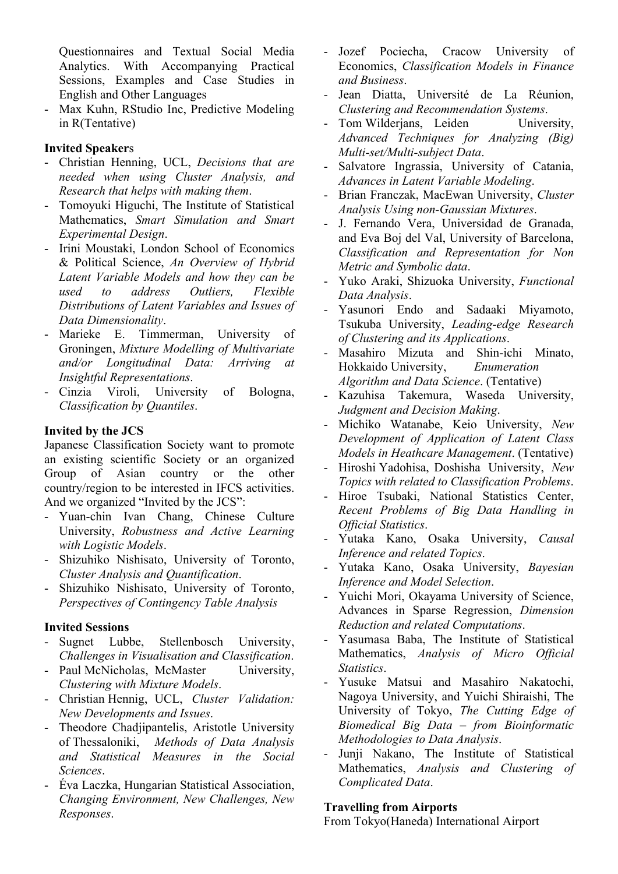Questionnaires and Textual Social Media Analytics. With Accompanying Practical Sessions, Examples and Case Studies in English and Other Languages

- Max Kuhn, RStudio Inc, Predictive Modeling in R(Tentative)

### **Invited Speaker**s

- Christian Henning, UCL, *Decisions that are needed when using Cluster Analysis, and Research that helps with making them*.
- Tomoyuki Higuchi, The Institute of Statistical Mathematics, *Smart Simulation and Smart Experimental Design*.
- Irini Moustaki, London School of Economics & Political Science, *An Overview of Hybrid Latent Variable Models and how they can be used to address Outliers, Flexible Distributions of Latent Variables and Issues of Data Dimensionality*.
- Marieke E. Timmerman, University of Groningen, *Mixture Modelling of Multivariate and/or Longitudinal Data: Arriving at Insightful Representations*.
- Cinzia Viroli, University of Bologna, *Classification by Quantiles*.

### **Invited by the JCS**

Japanese Classification Society want to promote an existing scientific Society or an organized Group of Asian country or the other country/region to be interested in IFCS activities. And we organized "Invited by the JCS":

- Yuan-chin Ivan Chang, Chinese Culture University, *Robustness and Active Learning with Logistic Models*.
- Shizuhiko Nishisato, University of Toronto, *Cluster Analysis and Quantification*.
- Shizuhiko Nishisato, University of Toronto, *Perspectives of Contingency Table Analysis*

### **Invited Sessions**

- Sugnet Lubbe, Stellenbosch University, *Challenges in Visualisation and Classification*.
- Paul McNicholas, McMaster University, *Clustering with Mixture Models*.
- Christian Hennig, UCL, *Cluster Validation: New Developments and Issues*.
- Theodore Chadjipantelis, Aristotle University of Thessaloniki, *Methods of Data Analysis and Statistical Measures in the Social Sciences*.
- Éva Laczka, Hungarian Statistical Association, *Changing Environment, New Challenges, New Responses*.
- Jozef Pociecha, Cracow University of Economics, *Classification Models in Finance and Business*.
- Jean Diatta, Université de La Réunion, *Clustering and Recommendation Systems*.
- Tom Wilderjans, Leiden University, *Advanced Techniques for Analyzing (Big) Multi-set/Multi-subject Data*.
- Salvatore Ingrassia, University of Catania, *Advances in Latent Variable Modeling*.
- Brian Franczak, MacEwan University, *Cluster Analysis Using non-Gaussian Mixtures*.
- J. Fernando Vera, Universidad de Granada, and Eva Boj del Val, University of Barcelona, *Classification and Representation for Non Metric and Symbolic data*.
- Yuko Araki, Shizuoka University, *Functional Data Analysis*.
- Yasunori Endo and Sadaaki Miyamoto, Tsukuba University, *Leading-edge Research of Clustering and its Applications*.
- Masahiro Mizuta and Shin-ichi Minato, Hokkaido University, *Enumeration Algorithm and Data Science*. (Tentative)
- Kazuhisa Takemura, Waseda University, *Judgment and Decision Making*.
- Michiko Watanabe, Keio University, *New Development of Application of Latent Class Models in Heathcare Management*. (Tentative)
- Hiroshi Yadohisa, Doshisha University, *New Topics with related to Classification Problems*.
- Hiroe Tsubaki, National Statistics Center, *Recent Problems of Big Data Handling in Official Statistics*.
- Yutaka Kano, Osaka University, *Causal Inference and related Topics*.
- Yutaka Kano, Osaka University, *Bayesian Inference and Model Selection*.
- Yuichi Mori, Okayama University of Science, Advances in Sparse Regression, *Dimension Reduction and related Computations*.
- Yasumasa Baba, The Institute of Statistical Mathematics, *Analysis of Micro Official Statistics*.
- Yusuke Matsui and Masahiro Nakatochi, Nagoya University, and Yuichi Shiraishi, The University of Tokyo, *The Cutting Edge of Biomedical Big Data – from Bioinformatic Methodologies to Data Analysis*.
- Junji Nakano, The Institute of Statistical Mathematics, *Analysis and Clustering of Complicated Data*.

### **Travelling from Airports**

From Tokyo(Haneda) International Airport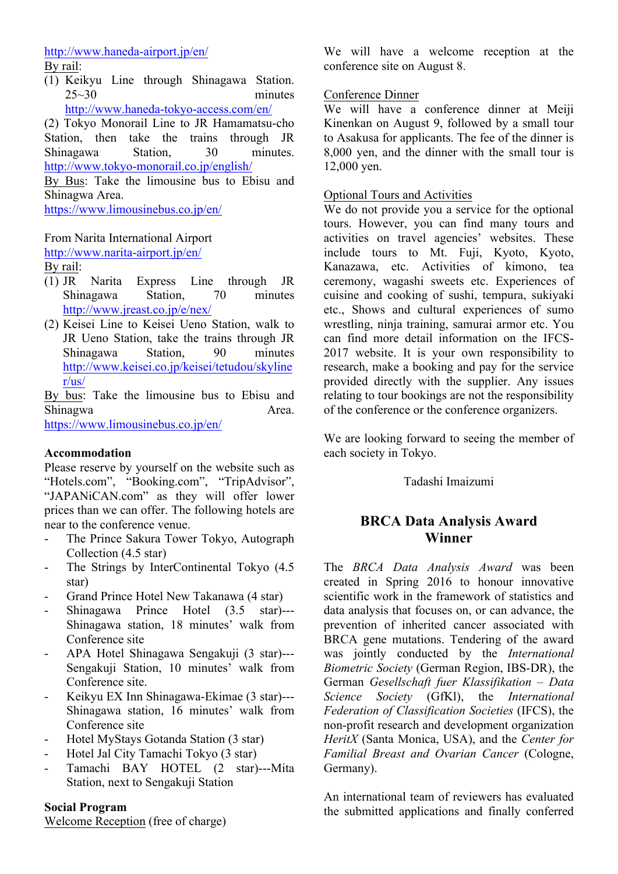# http://www.haneda-airport.jp/en/

By rail:

(1) Keikyu Line through Shinagawa Station.  $25 \sim 30$  minutes http://www.haneda-tokyo-access.com/en/

(2) Tokyo Monorail Line to JR Hamamatsu-cho Station, then take the trains through JR Shinagawa Station, 30 minutes. http://www.tokyo-monorail.co.jp/english/

By Bus: Take the limousine bus to Ebisu and Shinagwa Area.

https://www.limousinebus.co.jp/en/

### From Narita International Airport

http://www.narita-airport.jp/en/

By rail:

- (1) JR Narita Express Line through JR Shinagawa Station, 70 minutes http://www.jreast.co.jp/e/nex/
- (2) Keisei Line to Keisei Ueno Station, walk to JR Ueno Station, take the trains through JR Shinagawa Station, 90 minutes http://www.keisei.co.jp/keisei/tetudou/skyline r/us/

By bus: Take the limousine bus to Ebisu and Shinagwa Area.

https://www.limousinebus.co.jp/en/

### **Accommodation**

Please reserve by yourself on the website such as "Hotels.com", "Booking.com", "TripAdvisor", "JAPANiCAN.com" as they will offer lower prices than we can offer. The following hotels are near to the conference venue.

- The Prince Sakura Tower Tokyo, Autograph Collection (4.5 star)
- The Strings by InterContinental Tokyo  $(4.5)$ star)
- Grand Prince Hotel New Takanawa (4 star)
- Shinagawa Prince Hotel (3.5 star)--- Shinagawa station, 18 minutes' walk from Conference site
- APA Hotel Shinagawa Sengakuji (3 star)--- Sengakuji Station, 10 minutes' walk from Conference site.
- Keikyu EX Inn Shinagawa-Ekimae (3 star)---Shinagawa station, 16 minutes' walk from Conference site
- Hotel MyStays Gotanda Station (3 star)
- Hotel Jal City Tamachi Tokyo (3 star)
- Tamachi BAY HOTEL (2 star)---Mita Station, next to Sengakuji Station

### **Social Program**

Welcome Reception (free of charge)

We will have a welcome reception at the conference site on August 8.

### Conference Dinner

We will have a conference dinner at Meiji Kinenkan on August 9, followed by a small tour to Asakusa for applicants. The fee of the dinner is 8,000 yen, and the dinner with the small tour is 12,000 yen.

### Optional Tours and Activities

We do not provide you a service for the optional tours. However, you can find many tours and activities on travel agencies' websites. These include tours to Mt. Fuji, Kyoto, Kyoto, Kanazawa, etc. Activities of kimono, tea ceremony, wagashi sweets etc. Experiences of cuisine and cooking of sushi, tempura, sukiyaki etc., Shows and cultural experiences of sumo wrestling, ninja training, samurai armor etc. You can find more detail information on the IFCS-2017 website. It is your own responsibility to research, make a booking and pay for the service provided directly with the supplier. Any issues relating to tour bookings are not the responsibility of the conference or the conference organizers.

We are looking forward to seeing the member of each society in Tokyo.

Tadashi Imaizumi

# **BRCA Data Analysis Award Winner**

The *BRCA Data Analysis Award* was been created in Spring 2016 to honour innovative scientific work in the framework of statistics and data analysis that focuses on, or can advance, the prevention of inherited cancer associated with BRCA gene mutations. Tendering of the award was jointly conducted by the *International Biometric Society* (German Region, IBS-DR), the German *Gesellschaft fuer Klassifikation – Data Science Society* (GfKl), the *International Federation of Classification Societies* (IFCS), the non-profit research and development organization *HeritX* (Santa Monica, USA), and the *Center for Familial Breast and Ovarian Cancer* (Cologne, Germany).

An international team of reviewers has evaluated the submitted applications and finally conferred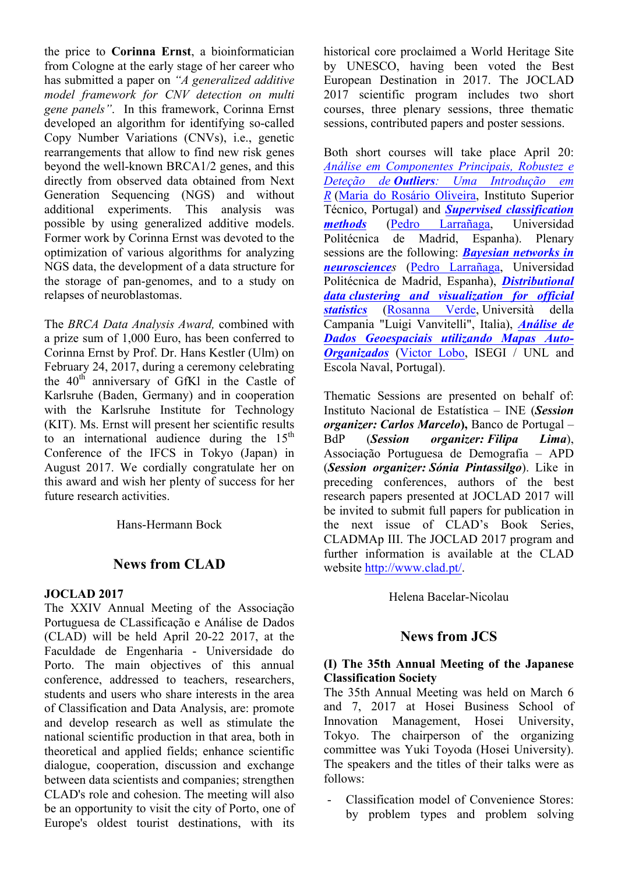the price to **Corinna Ernst**, a bioinformatician from Cologne at the early stage of her career who has submitted a paper on *"A generalized additive model framework for CNV detection on multi gene panels"*. In this framework, Corinna Ernst developed an algorithm for identifying so-called Copy Number Variations (CNVs), i.e., genetic rearrangements that allow to find new risk genes beyond the well-known BRCA1/2 genes, and this directly from observed data obtained from Next Generation Sequencing (NGS) and without additional experiments. This analysis was possible by using generalized additive models. Former work by Corinna Ernst was devoted to the optimization of various algorithms for analyzing NGS data, the development of a data structure for the storage of pan-genomes, and to a study on relapses of neuroblastomas.

The *BRCA Data Analysis Award,* combined with a prize sum of 1,000 Euro, has been conferred to Corinna Ernst by Prof. Dr. Hans Kestler (Ulm) on February 24, 2017, during a ceremony celebrating the  $40<sup>th</sup>$  anniversary of GfKl in the Castle of Karlsruhe (Baden, Germany) and in cooperation with the Karlsruhe Institute for Technology (KIT). Ms. Ernst will present her scientific results to an international audience during the  $15<sup>th</sup>$ Conference of the IFCS in Tokyo (Japan) in August 2017. We cordially congratulate her on this award and wish her plenty of success for her future research activities.

Hans-Hermann Bock

# **News from CLAD**

#### **JOCLAD 2017**

The XXIV Annual Meeting of the Associação Portuguesa de CLassificação e Análise de Dados (CLAD) will be held April 20-22 2017, at the Faculdade de Engenharia - Universidade do Porto. The main objectives of this annual conference, addressed to teachers, researchers, students and users who share interests in the area of Classification and Data Analysis, are: promote and develop research as well as stimulate the national scientific production in that area, both in theoretical and applied fields; enhance scientific dialogue, cooperation, discussion and exchange between data scientists and companies; strengthen CLAD's role and cohesion. The meeting will also be an opportunity to visit the city of Porto, one of Europe's oldest tourist destinations, with its

historical core proclaimed a World Heritage Site by UNESCO, having been voted the Best European Destination in 2017. The JOCLAD 2017 scientific program includes two short courses, three plenary sessions, three thematic sessions, contributed papers and poster sessions.

Both short courses will take place April 20: *Análise em Componentes Principais, Robustez e Deteção de Outliers: Uma Introdução em R* (Maria do Rosário Oliveira, Instituto Superior Técnico, Portugal) and *Supervised classification methods* (Pedro Larrañaga, Universidad Politécnica de Madrid, Espanha). Plenary sessions are the following: *Bayesian networks in neurosciences* (Pedro Larrañaga, Universidad Politécnica de Madrid, Espanha), *Distributional data clustering and visualization for official statistics* (Rosanna Verde, Università della Campania "Luigi Vanvitelli", Italia), *Análise de Dados Geoespaciais utilizando Mapas Auto-Organizados* (Victor Lobo, ISEGI / UNL and Escola Naval, Portugal).

Thematic Sessions are presented on behalf of: Instituto Nacional de Estatística – INE (*Session organizer: Carlos Marcelo***),** Banco de Portugal – BdP (*Session organizer: Filipa Lima*), Associação Portuguesa de Demografia – APD (*Session organizer: Sónia Pintassilgo*). Like in preceding conferences, authors of the best research papers presented at JOCLAD 2017 will be invited to submit full papers for publication in the next issue of CLAD's Book Series, CLADMAp III. The JOCLAD 2017 program and further information is available at the CLAD website http://www.clad.pt/.

Helena Bacelar-Nicolau

### **News from JCS**

#### **(I) The 35th Annual Meeting of the Japanese Classification Society**

The 35th Annual Meeting was held on March 6 and 7, 2017 at Hosei Business School of Innovation Management, Hosei University, Tokyo. The chairperson of the organizing committee was Yuki Toyoda (Hosei University). The speakers and the titles of their talks were as follows:

- Classification model of Convenience Stores: by problem types and problem solving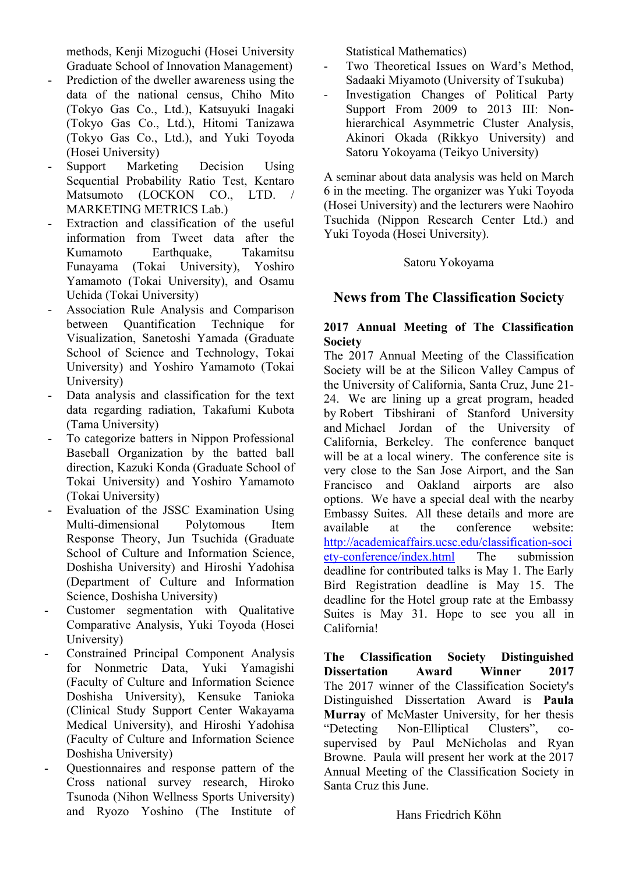methods, Kenji Mizoguchi (Hosei University Graduate School of Innovation Management)

- Prediction of the dweller awareness using the data of the national census, Chiho Mito (Tokyo Gas Co., Ltd.), Katsuyuki Inagaki (Tokyo Gas Co., Ltd.), Hitomi Tanizawa (Tokyo Gas Co., Ltd.), and Yuki Toyoda (Hosei University)
- Support Marketing Decision Using Sequential Probability Ratio Test, Kentaro Matsumoto (LOCKON CO., LTD. / MARKETING METRICS Lab.)
- Extraction and classification of the useful information from Tweet data after the Kumamoto Earthquake. Takamitsu Funayama (Tokai University), Yoshiro Yamamoto (Tokai University), and Osamu Uchida (Tokai University)
- Association Rule Analysis and Comparison between Quantification Technique for Visualization, Sanetoshi Yamada (Graduate School of Science and Technology, Tokai University) and Yoshiro Yamamoto (Tokai University)
- Data analysis and classification for the text data regarding radiation, Takafumi Kubota (Tama University)
- To categorize batters in Nippon Professional Baseball Organization by the batted ball direction, Kazuki Konda (Graduate School of Tokai University) and Yoshiro Yamamoto (Tokai University)
- Evaluation of the JSSC Examination Using Multi-dimensional Polytomous Item Response Theory, Jun Tsuchida (Graduate School of Culture and Information Science, Doshisha University) and Hiroshi Yadohisa (Department of Culture and Information Science, Doshisha University)
- Customer segmentation with Qualitative Comparative Analysis, Yuki Toyoda (Hosei University)
- Constrained Principal Component Analysis for Nonmetric Data, Yuki Yamagishi (Faculty of Culture and Information Science Doshisha University), Kensuke Tanioka (Clinical Study Support Center Wakayama Medical University), and Hiroshi Yadohisa (Faculty of Culture and Information Science Doshisha University)
- Questionnaires and response pattern of the Cross national survey research, Hiroko Tsunoda (Nihon Wellness Sports University) and Ryozo Yoshino (The Institute of

Statistical Mathematics)

- Two Theoretical Issues on Ward's Method, Sadaaki Miyamoto (University of Tsukuba)
- Investigation Changes of Political Party Support From 2009 to 2013 III: Nonhierarchical Asymmetric Cluster Analysis, Akinori Okada (Rikkyo University) and Satoru Yokoyama (Teikyo University)

A seminar about data analysis was held on March 6 in the meeting. The organizer was Yuki Toyoda (Hosei University) and the lecturers were Naohiro Tsuchida (Nippon Research Center Ltd.) and Yuki Toyoda (Hosei University).

### Satoru Yokoyama

# **News from The Classification Society**

#### **2017 Annual Meeting of The Classification Society**

The 2017 Annual Meeting of the Classification Society will be at the Silicon Valley Campus of the University of California, Santa Cruz, June 21- 24. We are lining up a great program, headed by Robert Tibshirani of Stanford University and Michael Jordan of the University of California, Berkeley. The conference banquet will be at a local winery. The conference site is very close to the San Jose Airport, and the San Francisco and Oakland airports are also options. We have a special deal with the nearby Embassy Suites. All these details and more are available at the conference website: http://academicaffairs.ucsc.edu/classification-soci ety-conference/index.html The submission deadline for contributed talks is May 1. The Early Bird Registration deadline is May 15. The deadline for the Hotel group rate at the Embassy Suites is May 31. Hope to see you all in California!

**The Classification Society Distinguished Dissertation Award Winner 2017** The 2017 winner of the Classification Society's Distinguished Dissertation Award is **Paula Murray** of McMaster University, for her thesis<br>
"Detecting Non-Elliptical Clusters", co-"Detecting Non-Elliptical Clusters", cosupervised by Paul McNicholas and Ryan Browne. Paula will present her work at the 2017 Annual Meeting of the Classification Society in Santa Cruz this June.

Hans Friedrich Köhn